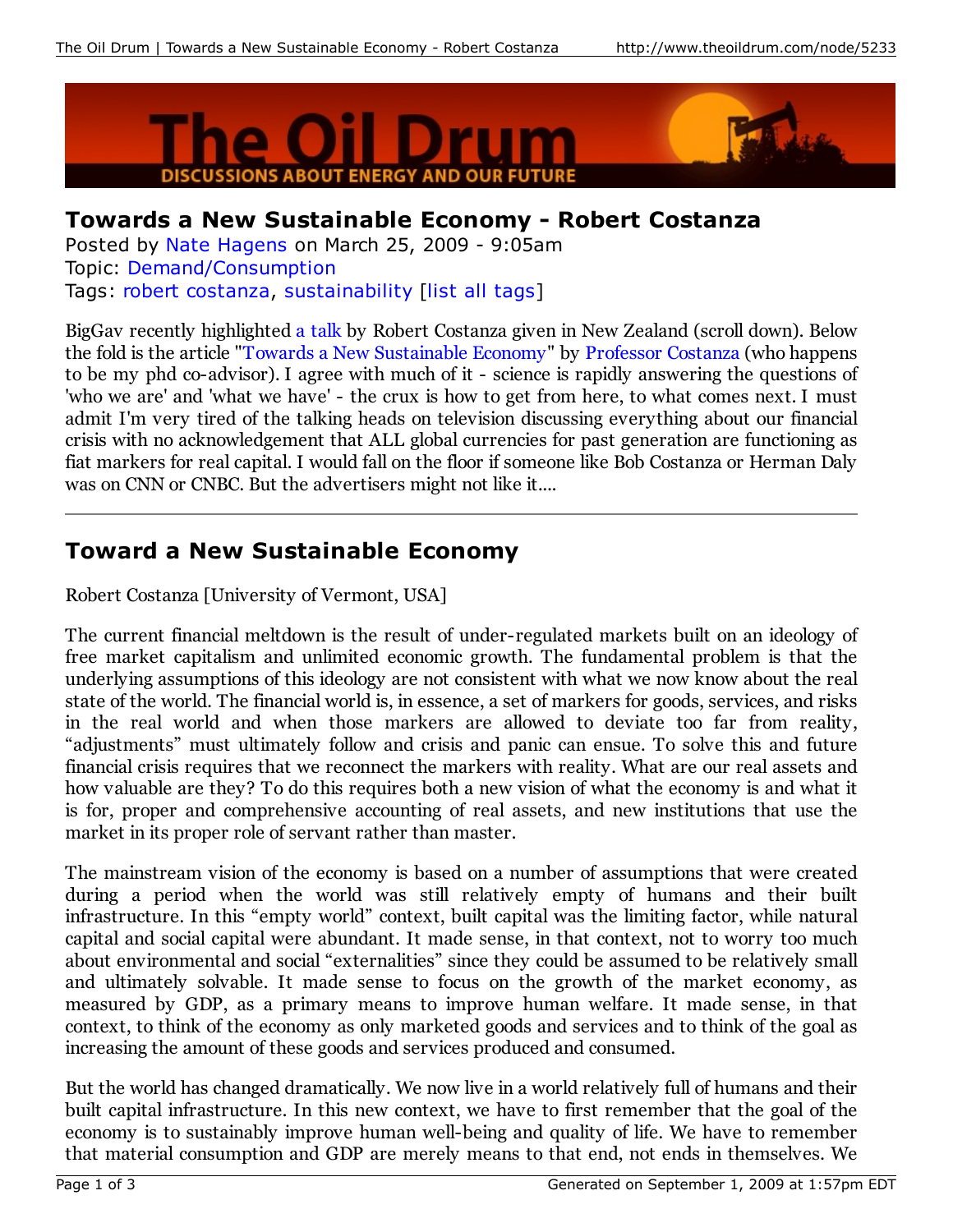



## **Towards a New Sustainable Economy - Robert Costanza**

Posted by Nate Hagens on March 25, 2009 - 9:05am Topic: Demand/Consumption Tags: robert costanza, sustainability [list all tags]

BigGav recently highlighted a talk by Robert Costanza given in New Zealand (scroll down). Below the fold is the article "Towards a New Sustainable Economy" by Professor Costanza (who happens to be my phd co-advisor). I agree with much of it - science is rapidly answering the questions of 'who we are' and 'what we have' - the crux is how to get from here, to what comes next. I must admit I'm very tired of the talking heads on television discussing everything about our financial crisis with no acknowledgement that ALL global currencies for past generation are functioning as fiat markers for real capital. I would fall on the floor if someone like Bob Costanza or Herman Daly was on CNN or CNBC. But the advertisers might not like it....

## **Toward a New Sustainable Economy**

Robert Costanza [University of Vermont, USA]

The current financial meltdown is the result of under-regulated markets built on an ideology of free market capitalism and unlimited economic growth. The fundamental problem is that the underlying assumptions of this ideology are not consistent with what we now know about the real state of the world. The financial world is, in essence, a set of markers for goods, services, and risks in the real world and when those markers are allowed to deviate too far from reality, "adjustments" must ultimately follow and crisis and panic can ensue. To solve this and future financial crisis requires that we reconnect the markers with reality. What are our real assets and how valuable are they? To do this requires both a new vision of what the economy is and what it is for, proper and comprehensive accounting of real assets, and new institutions that use the market in its proper role of servant rather than master.

The mainstream vision of the economy is based on a number of assumptions that were created during a period when the world was still relatively empty of humans and their built infrastructure. In this "empty world" context, built capital was the limiting factor, while natural capital and social capital were abundant. It made sense, in that context, not to worry too much about environmental and social "externalities" since they could be assumed to be relatively small and ultimately solvable. It made sense to focus on the growth of the market economy, as measured by GDP, as a primary means to improve human welfare. It made sense, in that context, to think of the economy as only marketed goods and services and to think of the goal as increasing the amount of these goods and services produced and consumed.

But the world has changed dramatically. We now live in a world relatively full of humans and their built capital infrastructure. In this new context, we have to first remember that the goal of the economy is to sustainably improve human well-being and quality of life. We have to remember that material consumption and GDP are merely means to that end, not ends in themselves. We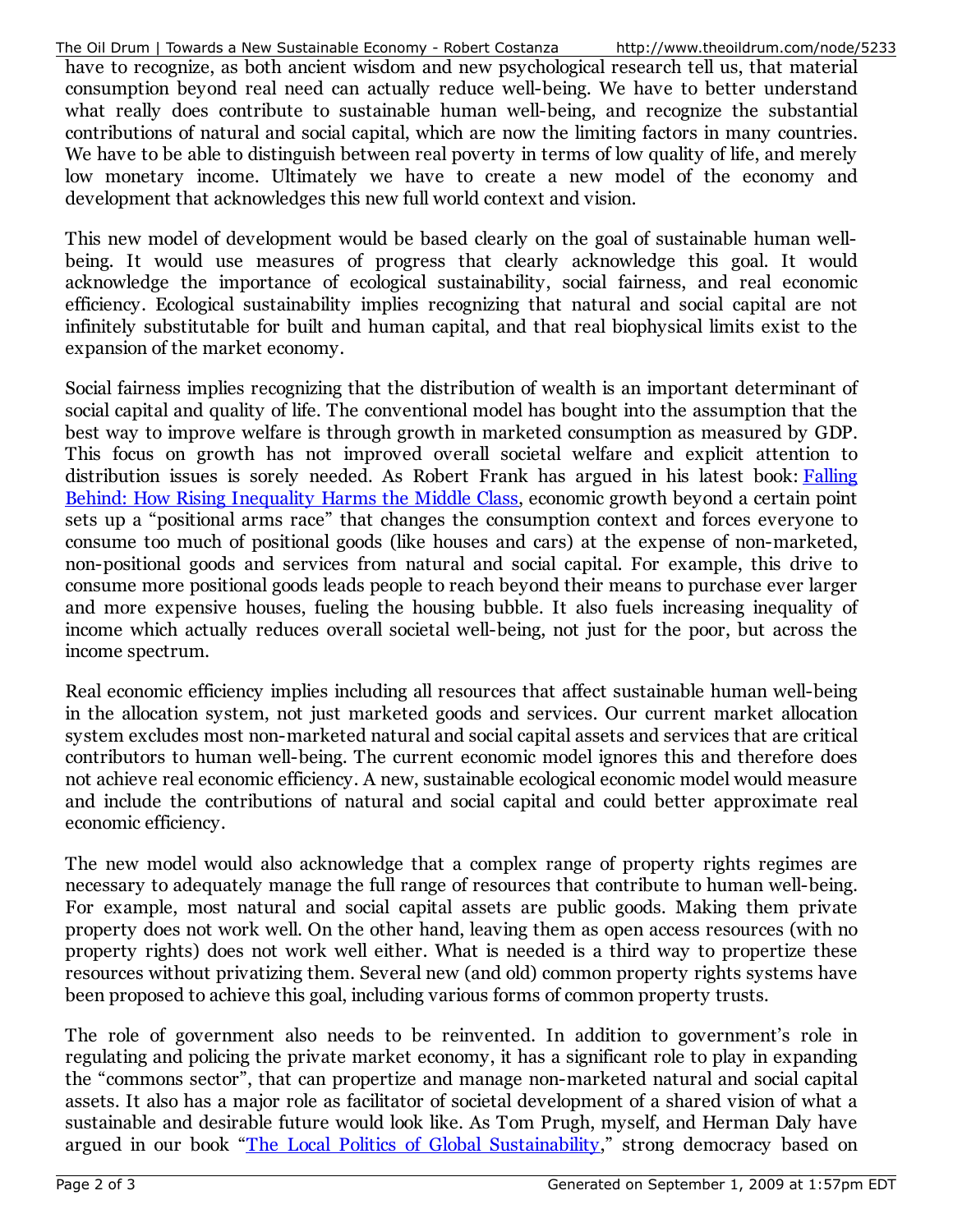The Oil Drum | Towards a New Sustainable Economy - Robert Costanza http://www.theoildrum.com/node/5233

have to recognize, as both ancient wisdom and new psychological research tell us, that material consumption beyond real need can actually reduce well-being. We have to better understand what really does contribute to sustainable human well-being, and recognize the substantial contributions of natural and social capital, which are now the limiting factors in many countries. We have to be able to distinguish between real poverty in terms of low quality of life, and merely low monetary income. Ultimately we have to create a new model of the economy and development that acknowledges this new full world context and vision.

This new model of development would be based clearly on the goal of sustainable human wellbeing. It would use measures of progress that clearly acknowledge this goal. It would acknowledge the importance of ecological sustainability, social fairness, and real economic efficiency. Ecological sustainability implies recognizing that natural and social capital are not infinitely substitutable for built and human capital, and that real biophysical limits exist to the expansion of the market economy.

Social fairness implies recognizing that the distribution of wealth is an important determinant of social capital and quality of life. The conventional model has bought into the assumption that the best way to improve welfare is through growth in marketed consumption as measured by GDP. This focus on growth has not improved overall societal welfare and explicit attention to distribution issues is sorely needed. As Robert Frank has argued in his latest book: Falling Behind: How Rising Inequality Harms the Middle Class, economic growth beyond a certain point sets up a "positional arms race" that changes the consumption context and forces everyone to consume too much of positional goods (like houses and cars) at the expense of non-marketed, non-positional goods and services from natural and social capital. For example, this drive to consume more positional goods leads people to reach beyond their means to purchase ever larger and more expensive houses, fueling the housing bubble. It also fuels increasing inequality of income which actually reduces overall societal well-being, not just for the poor, but across the income spectrum.

Real economic efficiency implies including all resources that affect sustainable human well-being in the allocation system, not just marketed goods and services. Our current market allocation system excludes most non-marketed natural and social capital assets and services that are critical contributors to human well-being. The current economic model ignores this and therefore does not achieve real economic efficiency. A new, sustainable ecological economic model would measure and include the contributions of natural and social capital and could better approximate real economic efficiency.

The new model would also acknowledge that a complex range of property rights regimes are necessary to adequately manage the full range of resources that contribute to human well-being. For example, most natural and social capital assets are public goods. Making them private property does not work well. On the other hand, leaving them as open access resources (with no property rights) does not work well either. What is needed is a third way to propertize these resources without privatizing them. Several new (and old) common property rights systems have been proposed to achieve this goal, including various forms of common property trusts.

The role of government also needs to be reinvented. In addition to government's role in regulating and policing the private market economy, it has a significant role to play in expanding the "commons sector", that can propertize and manage non-marketed natural and social capital assets. It also has a major role as facilitator of societal development of a shared vision of what a sustainable and desirable future would look like. As Tom Prugh, myself, and Herman Daly have argued in our book "The Local Politics of Global Sustainability," strong democracy based on